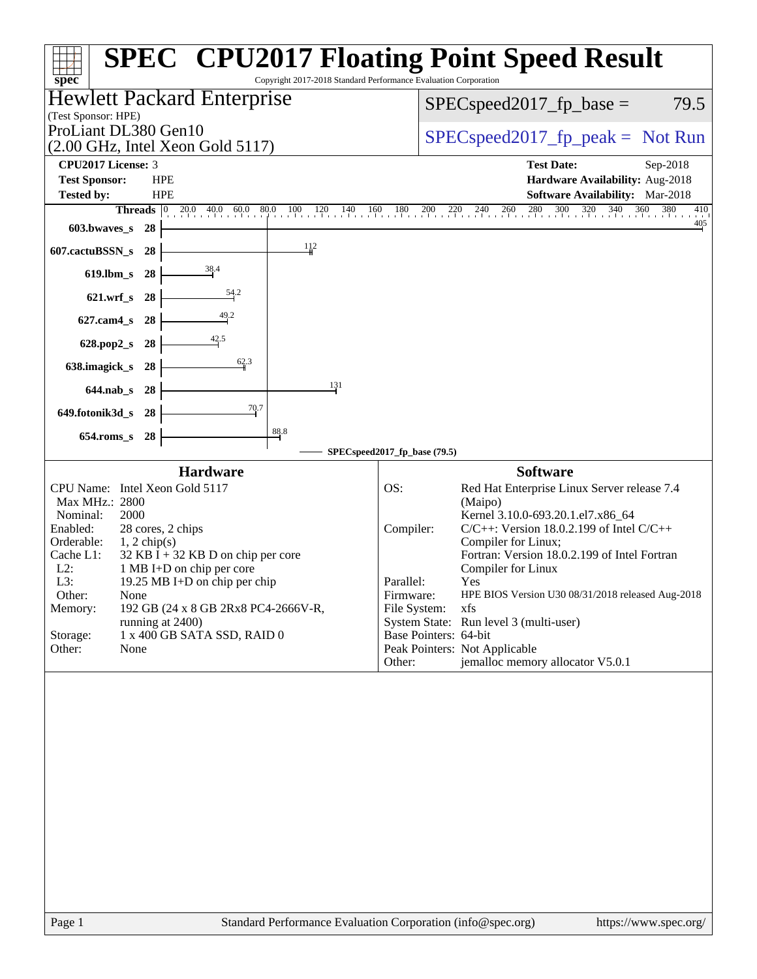| Copyright 2017-2018 Standard Performance Evaluation Corporation<br>$spec^*$                                                                                                                                                                                                                                                                                                                                                    | <b>SPEC<sup>®</sup> CPU2017 Floating Point Speed Result</b>                                                                                                                                                                                                                                                                                                                                                                                                                                                                  |
|--------------------------------------------------------------------------------------------------------------------------------------------------------------------------------------------------------------------------------------------------------------------------------------------------------------------------------------------------------------------------------------------------------------------------------|------------------------------------------------------------------------------------------------------------------------------------------------------------------------------------------------------------------------------------------------------------------------------------------------------------------------------------------------------------------------------------------------------------------------------------------------------------------------------------------------------------------------------|
| <b>Hewlett Packard Enterprise</b><br>(Test Sponsor: HPE)                                                                                                                                                                                                                                                                                                                                                                       | $SPEC speed2017_fp\_base =$<br>79.5                                                                                                                                                                                                                                                                                                                                                                                                                                                                                          |
| ProLiant DL380 Gen10<br>$(2.00 \text{ GHz}, \text{Intel Xeon Gold } 5117)$                                                                                                                                                                                                                                                                                                                                                     | $SPEC speed2017_fp\_peak = Not Run$                                                                                                                                                                                                                                                                                                                                                                                                                                                                                          |
| <b>CPU2017 License: 3</b><br><b>Test Sponsor:</b><br><b>HPE</b><br><b>HPE</b><br><b>Tested by:</b><br><b>Threads</b>                                                                                                                                                                                                                                                                                                           | <b>Test Date:</b><br>Sep-2018<br>Hardware Availability: Aug-2018<br>Software Availability: Mar-2018<br>$\begin{bmatrix} 0 & 20.0 & 40.0 & 60.0 & 80.0 & 100 & 120 & 140 & 160 & 180 & 200 & 220 & 240 & 260 & 280 & 300 & 320 & 340 & 360 & 380 \end{bmatrix}$<br>410                                                                                                                                                                                                                                                        |
| 603.bwaves_s 28<br>112<br>607.cactuBSSN_s<br>28                                                                                                                                                                                                                                                                                                                                                                                | $\frac{405}{4}$                                                                                                                                                                                                                                                                                                                                                                                                                                                                                                              |
| 619.lbm_s 28                                                                                                                                                                                                                                                                                                                                                                                                                   |                                                                                                                                                                                                                                                                                                                                                                                                                                                                                                                              |
| 621.wrf_s 28                                                                                                                                                                                                                                                                                                                                                                                                                   |                                                                                                                                                                                                                                                                                                                                                                                                                                                                                                                              |
| 627.cam4_s 28                                                                                                                                                                                                                                                                                                                                                                                                                  |                                                                                                                                                                                                                                                                                                                                                                                                                                                                                                                              |
| 628.pop2_s 28<br>$\frac{62.3}{9}$<br>638.imagick_s 28                                                                                                                                                                                                                                                                                                                                                                          |                                                                                                                                                                                                                                                                                                                                                                                                                                                                                                                              |
| 131<br>644.nab_s 28                                                                                                                                                                                                                                                                                                                                                                                                            |                                                                                                                                                                                                                                                                                                                                                                                                                                                                                                                              |
| 70.7<br>649.fotonik3d_s 28                                                                                                                                                                                                                                                                                                                                                                                                     |                                                                                                                                                                                                                                                                                                                                                                                                                                                                                                                              |
| 88.8<br>654.roms_s 28                                                                                                                                                                                                                                                                                                                                                                                                          |                                                                                                                                                                                                                                                                                                                                                                                                                                                                                                                              |
| <b>Hardware</b>                                                                                                                                                                                                                                                                                                                                                                                                                | SPECspeed2017_fp_base (79.5)<br><b>Software</b>                                                                                                                                                                                                                                                                                                                                                                                                                                                                              |
| CPU Name: Intel Xeon Gold 5117<br>Max MHz.: 2800<br>Nominal:<br>2000<br>Enabled:<br>28 cores, 2 chips<br>Orderable:<br>$1, 2$ chip(s)<br>Cache L1:<br>$32$ KB I + 32 KB D on chip per core<br>$L2$ :<br>1 MB I+D on chip per core<br>L3:<br>19.25 MB I+D on chip per chip<br>Other:<br>None<br>192 GB (24 x 8 GB 2Rx8 PC4-2666V-R,<br>Memory:<br>running at 2400)<br>1 x 400 GB SATA SSD, RAID 0<br>Storage:<br>Other:<br>None | OS:<br>Red Hat Enterprise Linux Server release 7.4<br>(Maipo)<br>Kernel 3.10.0-693.20.1.el7.x86_64<br>Compiler:<br>$C/C++$ : Version 18.0.2.199 of Intel $C/C++$<br>Compiler for Linux;<br>Fortran: Version 18.0.2.199 of Intel Fortran<br>Compiler for Linux<br>Parallel:<br>Yes<br>Firmware:<br>HPE BIOS Version U30 08/31/2018 released Aug-2018<br>File System:<br>xfs<br>System State: Run level 3 (multi-user)<br>Base Pointers: 64-bit<br>Peak Pointers: Not Applicable<br>jemalloc memory allocator V5.0.1<br>Other: |
|                                                                                                                                                                                                                                                                                                                                                                                                                                |                                                                                                                                                                                                                                                                                                                                                                                                                                                                                                                              |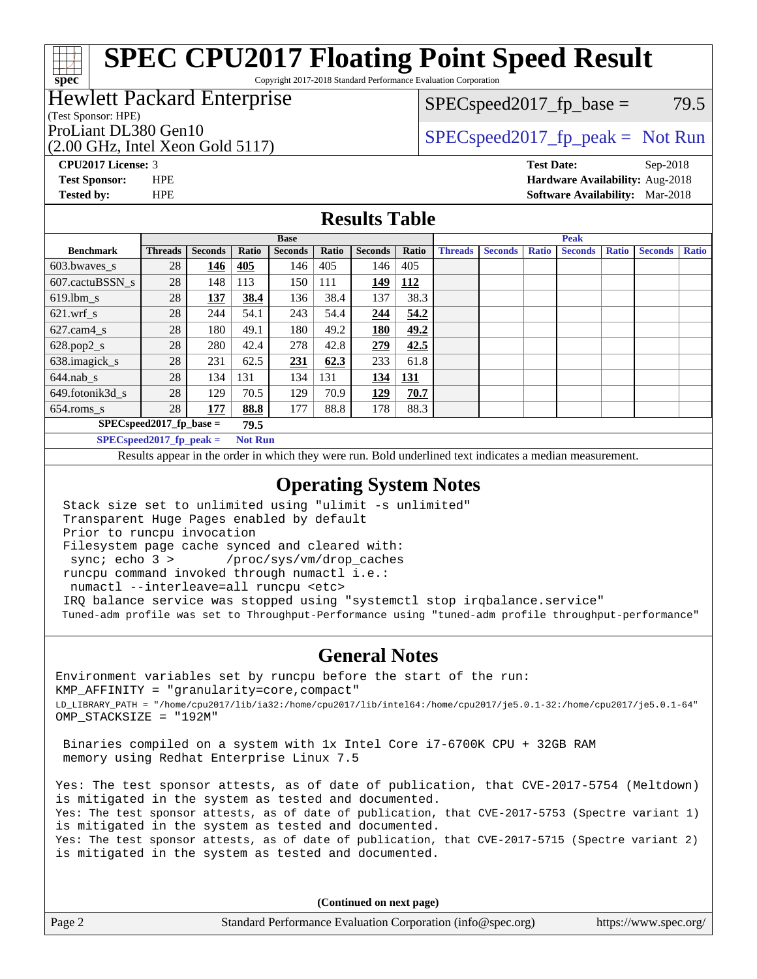Copyright 2017-2018 Standard Performance Evaluation Corporation

### Hewlett Packard Enterprise

#### (Test Sponsor: HPE)

(2.00 GHz, Intel Xeon Gold 5117)

 $SPEC speed2017_fp\_base = 79.5$ 

# ProLiant DL380 Gen10  $SPEC speed2017$  [p\_peak = Not Run

**[CPU2017 License:](http://www.spec.org/auto/cpu2017/Docs/result-fields.html#CPU2017License)** 3 **[Test Date:](http://www.spec.org/auto/cpu2017/Docs/result-fields.html#TestDate)** Sep-2018 **[Test Sponsor:](http://www.spec.org/auto/cpu2017/Docs/result-fields.html#TestSponsor)** HPE **[Hardware Availability:](http://www.spec.org/auto/cpu2017/Docs/result-fields.html#HardwareAvailability)** Aug-2018 **[Tested by:](http://www.spec.org/auto/cpu2017/Docs/result-fields.html#Testedby)** HPE **[Software Availability:](http://www.spec.org/auto/cpu2017/Docs/result-fields.html#SoftwareAvailability)** Mar-2018

### **[Results Table](http://www.spec.org/auto/cpu2017/Docs/result-fields.html#ResultsTable)**

|                                    | <b>Base</b>    |                |                |                |       |                | <b>Peak</b> |                |                |              |                |              |                |              |
|------------------------------------|----------------|----------------|----------------|----------------|-------|----------------|-------------|----------------|----------------|--------------|----------------|--------------|----------------|--------------|
| <b>Benchmark</b>                   | <b>Threads</b> | <b>Seconds</b> | Ratio          | <b>Seconds</b> | Ratio | <b>Seconds</b> | Ratio       | <b>Threads</b> | <b>Seconds</b> | <b>Ratio</b> | <b>Seconds</b> | <b>Ratio</b> | <b>Seconds</b> | <b>Ratio</b> |
| $603.bwaves$ s                     | 28             | 146            | 405            | 146            | 405   | 146            | 405         |                |                |              |                |              |                |              |
| 607.cactuBSSN s                    | 28             | 148            | 113            | 150            | 111   | 149            | 112         |                |                |              |                |              |                |              |
| $619.$ lbm s                       | 28             | 137            | 38.4           | 136            | 38.4  | 137            | 38.3        |                |                |              |                |              |                |              |
| $621.wrf$ s                        | 28             | 244            | 54.1           | 243            | 54.4  | 244            | 54.2        |                |                |              |                |              |                |              |
| $627$ .cam4 s                      | 28             | 180            | 49.1           | 180            | 49.2  | 180            | 49.2        |                |                |              |                |              |                |              |
| $628.pop2_s$                       | 28             | 280            | 42.4           | 278            | 42.8  | 279            | 42.5        |                |                |              |                |              |                |              |
| 638.imagick_s                      | 28             | 231            | 62.5           | 231            | 62.3  | 233            | 61.8        |                |                |              |                |              |                |              |
| $644$ .nab s                       | 28             | 134            | 131            | 134            | 131   | 134            | <u>131</u>  |                |                |              |                |              |                |              |
| 649.fotonik3d s                    | 28             | 129            | 70.5           | 129            | 70.9  | 129            | 70.7        |                |                |              |                |              |                |              |
| $654$ .roms_s                      | 28             | 177            | 88.8           | 177            | 88.8  | 178            | 88.3        |                |                |              |                |              |                |              |
| $SPEC speed2017$ fp base =<br>79.5 |                |                |                |                |       |                |             |                |                |              |                |              |                |              |
| $SPECspeed2017_fp\_peak =$         |                |                | <b>Not Run</b> |                |       |                |             |                |                |              |                |              |                |              |

Results appear in the [order in which they were run.](http://www.spec.org/auto/cpu2017/Docs/result-fields.html#RunOrder) Bold underlined text [indicates a median measurement](http://www.spec.org/auto/cpu2017/Docs/result-fields.html#Median).

### **[Operating System Notes](http://www.spec.org/auto/cpu2017/Docs/result-fields.html#OperatingSystemNotes)**

 Stack size set to unlimited using "ulimit -s unlimited" Transparent Huge Pages enabled by default Prior to runcpu invocation Filesystem page cache synced and cleared with: sync; echo 3 > /proc/sys/vm/drop\_caches runcpu command invoked through numactl i.e.: numactl --interleave=all runcpu <etc> IRQ balance service was stopped using "systemctl stop irqbalance.service" Tuned-adm profile was set to Throughput-Performance using "tuned-adm profile throughput-performance"

#### **[General Notes](http://www.spec.org/auto/cpu2017/Docs/result-fields.html#GeneralNotes)**

Environment variables set by runcpu before the start of the run: KMP\_AFFINITY = "granularity=core,compact" LD\_LIBRARY\_PATH = "/home/cpu2017/lib/ia32:/home/cpu2017/lib/intel64:/home/cpu2017/je5.0.1-32:/home/cpu2017/je5.0.1-64" OMP\_STACKSIZE = "192M"

 Binaries compiled on a system with 1x Intel Core i7-6700K CPU + 32GB RAM memory using Redhat Enterprise Linux 7.5

Yes: The test sponsor attests, as of date of publication, that CVE-2017-5754 (Meltdown) is mitigated in the system as tested and documented. Yes: The test sponsor attests, as of date of publication, that CVE-2017-5753 (Spectre variant 1) is mitigated in the system as tested and documented. Yes: The test sponsor attests, as of date of publication, that CVE-2017-5715 (Spectre variant 2) is mitigated in the system as tested and documented.

**(Continued on next page)**

| Page 2 | Standard Performance Evaluation Corporation (info@spec.org) | https://www.spec.org/ |
|--------|-------------------------------------------------------------|-----------------------|

**[spec](http://www.spec.org/)**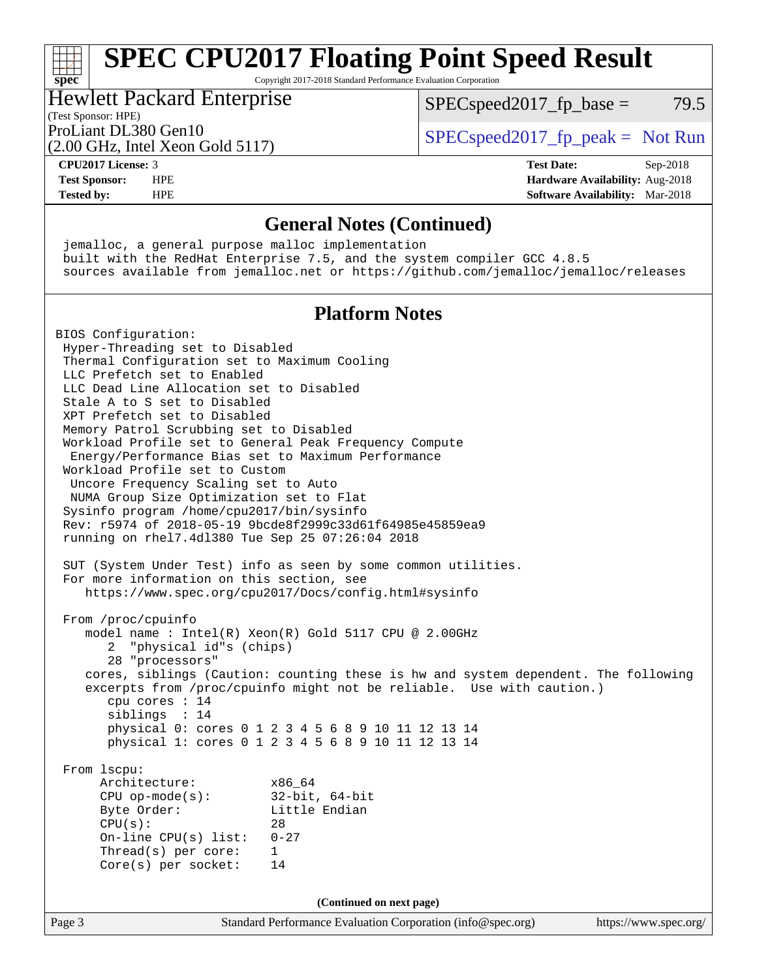### **[spec](http://www.spec.org/) [SPEC CPU2017 Floating Point Speed Result](http://www.spec.org/auto/cpu2017/Docs/result-fields.html#SPECCPU2017FloatingPointSpeedResult)** Copyright 2017-2018 Standard Performance Evaluation Corporation

# Hewlett Packard Enterprise

 $SPEC speed2017<sub>fp</sub> base = 79.5$ 

# (Test Sponsor: HPE)

(2.00 GHz, Intel Xeon Gold 5117)

ProLiant DL380 Gen10  $SPEC speed2017$  [p\_peak = Not Run

#### **[CPU2017 License:](http://www.spec.org/auto/cpu2017/Docs/result-fields.html#CPU2017License)** 3 **[Test Date:](http://www.spec.org/auto/cpu2017/Docs/result-fields.html#TestDate)** Sep-2018 **[Test Sponsor:](http://www.spec.org/auto/cpu2017/Docs/result-fields.html#TestSponsor)** HPE **[Hardware Availability:](http://www.spec.org/auto/cpu2017/Docs/result-fields.html#HardwareAvailability)** Aug-2018 **[Tested by:](http://www.spec.org/auto/cpu2017/Docs/result-fields.html#Testedby)** HPE **[Software Availability:](http://www.spec.org/auto/cpu2017/Docs/result-fields.html#SoftwareAvailability)** Mar-2018

### **[General Notes \(Continued\)](http://www.spec.org/auto/cpu2017/Docs/result-fields.html#GeneralNotes)**

 jemalloc, a general purpose malloc implementation built with the RedHat Enterprise 7.5, and the system compiler GCC 4.8.5 sources available from jemalloc.net or <https://github.com/jemalloc/jemalloc/releases>

## **[Platform Notes](http://www.spec.org/auto/cpu2017/Docs/result-fields.html#PlatformNotes)**

BIOS Configuration: Hyper-Threading set to Disabled Thermal Configuration set to Maximum Cooling LLC Prefetch set to Enabled LLC Dead Line Allocation set to Disabled Stale A to S set to Disabled XPT Prefetch set to Disabled Memory Patrol Scrubbing set to Disabled Workload Profile set to General Peak Frequency Compute Energy/Performance Bias set to Maximum Performance Workload Profile set to Custom Uncore Frequency Scaling set to Auto NUMA Group Size Optimization set to Flat Sysinfo program /home/cpu2017/bin/sysinfo Rev: r5974 of 2018-05-19 9bcde8f2999c33d61f64985e45859ea9 running on rhel7.4dl380 Tue Sep 25 07:26:04 2018 SUT (System Under Test) info as seen by some common utilities. For more information on this section, see <https://www.spec.org/cpu2017/Docs/config.html#sysinfo> From /proc/cpuinfo model name : Intel(R) Xeon(R) Gold 5117 CPU @ 2.00GHz 2 "physical id"s (chips) 28 "processors" cores, siblings (Caution: counting these is hw and system dependent. The following excerpts from /proc/cpuinfo might not be reliable. Use with caution.) cpu cores : 14 siblings : 14 physical 0: cores 0 1 2 3 4 5 6 8 9 10 11 12 13 14 physical 1: cores 0 1 2 3 4 5 6 8 9 10 11 12 13 14 From lscpu: Architecture: x86\_64 CPU op-mode(s): 32-bit, 64-bit Byte Order: Little Endian  $CPU(s):$  28 On-line CPU(s) list: 0-27 Thread(s) per core: 1 Core(s) per socket: 14 **(Continued on next page)**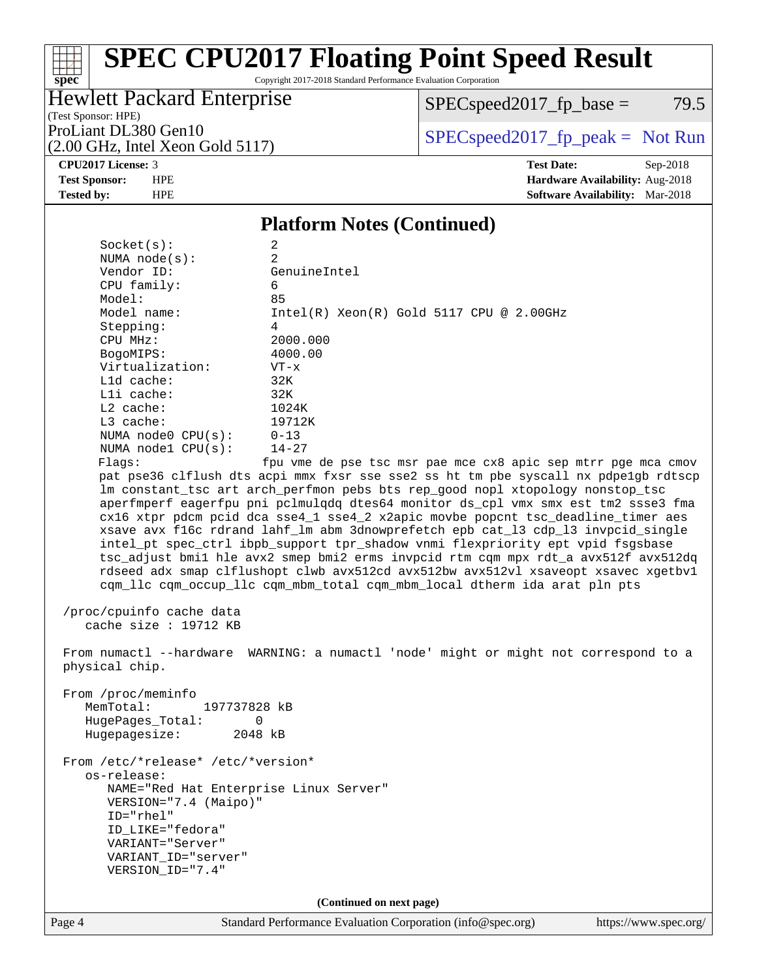Copyright 2017-2018 Standard Performance Evaluation Corporation

# Hewlett Packard Enterprise

 $SPEC speed2017_fp\_base = 79.5$ 

(Test Sponsor: HPE) (2.00 GHz, Intel Xeon Gold 5117)

ProLiant DL380 Gen10  $SPEC speed2017$  [p\_peak = Not Run

#### **[CPU2017 License:](http://www.spec.org/auto/cpu2017/Docs/result-fields.html#CPU2017License)** 3 **[Test Date:](http://www.spec.org/auto/cpu2017/Docs/result-fields.html#TestDate)** Sep-2018

**[spec](http://www.spec.org/)**

**[Test Sponsor:](http://www.spec.org/auto/cpu2017/Docs/result-fields.html#TestSponsor)** HPE **[Hardware Availability:](http://www.spec.org/auto/cpu2017/Docs/result-fields.html#HardwareAvailability)** Aug-2018 **[Tested by:](http://www.spec.org/auto/cpu2017/Docs/result-fields.html#Testedby)** HPE **[Software Availability:](http://www.spec.org/auto/cpu2017/Docs/result-fields.html#SoftwareAvailability)** Mar-2018

### **[Platform Notes \(Continued\)](http://www.spec.org/auto/cpu2017/Docs/result-fields.html#PlatformNotes)**

| Socket(s):         | 2                                                                                   |
|--------------------|-------------------------------------------------------------------------------------|
| NUMA $node(s):$    | $\mathfrak{D}$                                                                      |
| Vendor ID:         | GenuineIntel                                                                        |
| $CPU$ family:      | 6                                                                                   |
| Model:             | 85                                                                                  |
| Model name:        | $Intel(R)$ Xeon $(R)$ Gold 5117 CPU @ 2.00GHz                                       |
| Stepping:          | 4                                                                                   |
| CPU MHz:           | 2000.000                                                                            |
| BogoMIPS:          | 4000.00                                                                             |
| Virtualization:    | $VT - x$                                                                            |
| $L1d$ cache:       | 32K                                                                                 |
| $L1i$ cache:       | 32K                                                                                 |
| $L2$ cache:        | 1024K                                                                               |
| $L3$ cache:        | 19712K                                                                              |
| NUMA node0 CPU(s): | $0 - 13$                                                                            |
| NUMA nodel CPU(s): | $14 - 27$                                                                           |
| Flaqs:             | fpu vme de pse tsc msr pae mce cx8 apic sep mtrr pqe mca cmov                       |
|                    | pat pse36 clflush dts acpi mmx fxsr sse sse2 ss ht tm pbe syscall nx pdpe1gb rdtscp |
|                    | Im constant_tsc art arch_perfmon pebs bts rep_good nopl xtopology nonstop_tsc       |
|                    | aperfmperf eagerfpu pni pclmulqdq dtes64 monitor ds_cpl vmx smx est tm2 ssse3 fma   |
|                    | cx16 xtpr pdcm pcid dca sse4_1 sse4_2 x2apic movbe popcnt tsc_deadline_timer aes    |
|                    | xsave avx f16c rdrand lahf_lm abm 3dnowprefetch epb cat_13 cdp_13 invpcid_single    |
|                    | intel_pt spec_ctrl ibpb_support tpr_shadow vnmi flexpriority ept vpid fsgsbase      |
|                    | tsc_adjust bmil hle avx2 smep bmi2 erms invpcid rtm cqm mpx rdt_a avx512f avx512dq  |
|                    | rdseed adx smap clflushopt clwb avx512cd avx512bw avx512vl xsaveopt xsavec xgetbvl  |
|                    | cqm_llc cqm_occup_llc cqm_mbm_total cqm_mbm_local dtherm ida arat pln pts           |
|                    |                                                                                     |

 /proc/cpuinfo cache data cache size : 19712 KB

 From numactl --hardware WARNING: a numactl 'node' might or might not correspond to a physical chip.

 From /proc/meminfo MemTotal: 197737828 kB HugePages\_Total: 0 Hugepagesize: 2048 kB

 From /etc/\*release\* /etc/\*version\* os-release: NAME="Red Hat Enterprise Linux Server" VERSION="7.4 (Maipo)" ID="rhel" ID\_LIKE="fedora" VARIANT="Server" VARIANT\_ID="server" VERSION\_ID="7.4"

**(Continued on next page)**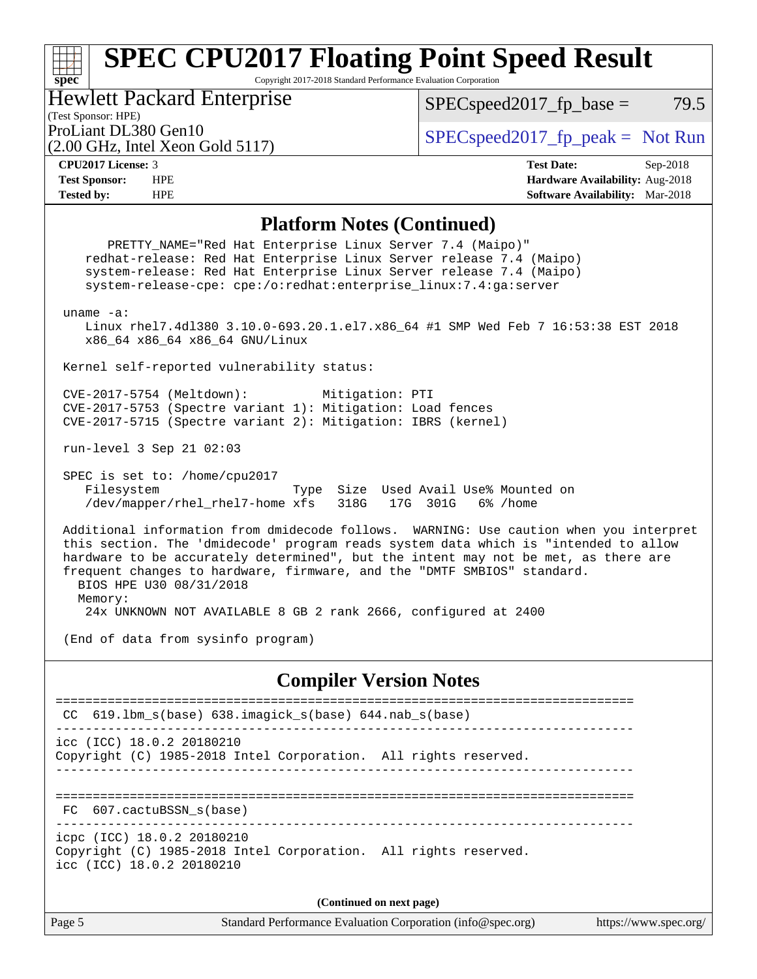Copyright 2017-2018 Standard Performance Evaluation Corporation

Hewlett Packard Enterprise

 $SPEC speed2017_fp\_base = 79.5$ 

(Test Sponsor: HPE)

(2.00 GHz, Intel Xeon Gold 5117)

ProLiant DL380 Gen10  $SPEC speed2017_f$   $peak = Not Run$ 

**[spec](http://www.spec.org/)**

**[CPU2017 License:](http://www.spec.org/auto/cpu2017/Docs/result-fields.html#CPU2017License)** 3 **[Test Date:](http://www.spec.org/auto/cpu2017/Docs/result-fields.html#TestDate)** Sep-2018 **[Test Sponsor:](http://www.spec.org/auto/cpu2017/Docs/result-fields.html#TestSponsor)** HPE **[Hardware Availability:](http://www.spec.org/auto/cpu2017/Docs/result-fields.html#HardwareAvailability)** Aug-2018 **[Tested by:](http://www.spec.org/auto/cpu2017/Docs/result-fields.html#Testedby)** HPE **[Software Availability:](http://www.spec.org/auto/cpu2017/Docs/result-fields.html#SoftwareAvailability)** Mar-2018

#### **[Platform Notes \(Continued\)](http://www.spec.org/auto/cpu2017/Docs/result-fields.html#PlatformNotes)**

Page 5 Standard Performance Evaluation Corporation [\(info@spec.org\)](mailto:info@spec.org) <https://www.spec.org/> PRETTY\_NAME="Red Hat Enterprise Linux Server 7.4 (Maipo)" redhat-release: Red Hat Enterprise Linux Server release 7.4 (Maipo) system-release: Red Hat Enterprise Linux Server release 7.4 (Maipo) system-release-cpe: cpe:/o:redhat:enterprise\_linux:7.4:ga:server uname -a: Linux rhel7.4dl380 3.10.0-693.20.1.el7.x86\_64 #1 SMP Wed Feb 7 16:53:38 EST 2018 x86\_64 x86\_64 x86\_64 GNU/Linux Kernel self-reported vulnerability status: CVE-2017-5754 (Meltdown): Mitigation: PTI CVE-2017-5753 (Spectre variant 1): Mitigation: Load fences CVE-2017-5715 (Spectre variant 2): Mitigation: IBRS (kernel) run-level 3 Sep 21 02:03 SPEC is set to: /home/cpu2017 Filesystem Type Size Used Avail Use% Mounted on /dev/mapper/rhel\_rhel7-home xfs 318G 17G 301G 6% /home Additional information from dmidecode follows. WARNING: Use caution when you interpret this section. The 'dmidecode' program reads system data which is "intended to allow hardware to be accurately determined", but the intent may not be met, as there are frequent changes to hardware, firmware, and the "DMTF SMBIOS" standard. BIOS HPE U30 08/31/2018 Memory: 24x UNKNOWN NOT AVAILABLE 8 GB 2 rank 2666, configured at 2400 (End of data from sysinfo program) **[Compiler Version Notes](http://www.spec.org/auto/cpu2017/Docs/result-fields.html#CompilerVersionNotes)** ============================================================================== CC 619.lbm\_s(base) 638.imagick\_s(base) 644.nab\_s(base) ----------------------------------------------------------------------------- icc (ICC) 18.0.2 20180210 Copyright (C) 1985-2018 Intel Corporation. All rights reserved. ------------------------------------------------------------------------------ ============================================================================== FC 607.cactuBSSN\_s(base) ----------------------------------------------------------------------------- icpc (ICC) 18.0.2 20180210 Copyright (C) 1985-2018 Intel Corporation. All rights reserved. icc (ICC) 18.0.2 20180210 **(Continued on next page)**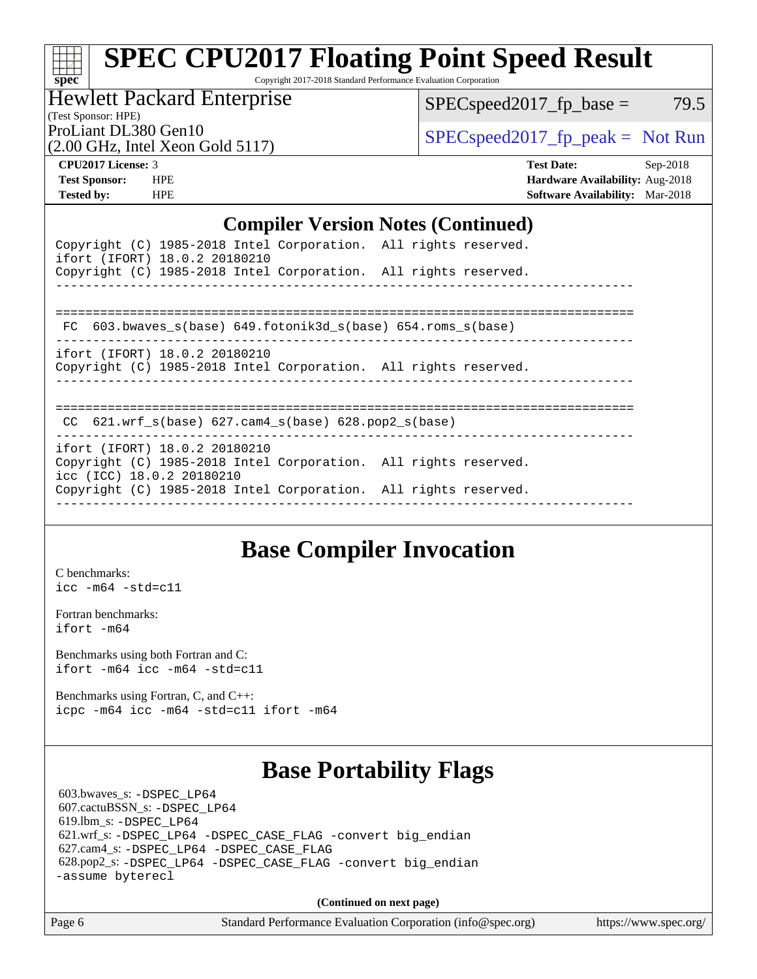Copyright 2017-2018 Standard Performance Evaluation Corporation

Hewlett Packard Enterprise

 $SPEC speed2017_fp\_base = 79.5$ 

(Test Sponsor: HPE)

(2.00 GHz, Intel Xeon Gold 5117)

ProLiant DL380 Gen10  $SPEC speed2017$  [p\_peak = Not Run

**[spec](http://www.spec.org/)**

**[CPU2017 License:](http://www.spec.org/auto/cpu2017/Docs/result-fields.html#CPU2017License)** 3 **[Test Date:](http://www.spec.org/auto/cpu2017/Docs/result-fields.html#TestDate)** Sep-2018 **[Test Sponsor:](http://www.spec.org/auto/cpu2017/Docs/result-fields.html#TestSponsor)** HPE **[Hardware Availability:](http://www.spec.org/auto/cpu2017/Docs/result-fields.html#HardwareAvailability)** Aug-2018 **[Tested by:](http://www.spec.org/auto/cpu2017/Docs/result-fields.html#Testedby)** HPE **[Software Availability:](http://www.spec.org/auto/cpu2017/Docs/result-fields.html#SoftwareAvailability)** Mar-2018

### **[Compiler Version Notes \(Continued\)](http://www.spec.org/auto/cpu2017/Docs/result-fields.html#CompilerVersionNotes)**

| Copyright (C) 1985-2018 Intel Corporation. All rights reserved.<br>ifort (IFORT) 18.0.2 20180210 |  |  |
|--------------------------------------------------------------------------------------------------|--|--|
| Copyright (C) 1985-2018 Intel Corporation. All rights reserved.                                  |  |  |
|                                                                                                  |  |  |
| FC 603.bwaves s(base) 649.fotonik3d s(base) 654.roms s(base)                                     |  |  |
| ifort (IFORT) 18.0.2 20180210<br>Copyright (C) 1985-2018 Intel Corporation. All rights reserved. |  |  |

==============================================================================

CC 621.wrf\_s(base) 627.cam4\_s(base) 628.pop2\_s(base)

----------------------------------------------------------------------------- ifort (IFORT) 18.0.2 20180210 Copyright (C) 1985-2018 Intel Corporation. All rights reserved. icc (ICC) 18.0.2 20180210 Copyright (C) 1985-2018 Intel Corporation. All rights reserved. ------------------------------------------------------------------------------

------------------------------------------------------------------------------

# **[Base Compiler Invocation](http://www.spec.org/auto/cpu2017/Docs/result-fields.html#BaseCompilerInvocation)**

[C benchmarks](http://www.spec.org/auto/cpu2017/Docs/result-fields.html#Cbenchmarks): [icc -m64 -std=c11](http://www.spec.org/cpu2017/results/res2018q4/cpu2017-20181001-08977.flags.html#user_CCbase_intel_icc_64bit_c11_33ee0cdaae7deeeab2a9725423ba97205ce30f63b9926c2519791662299b76a0318f32ddfffdc46587804de3178b4f9328c46fa7c2b0cd779d7a61945c91cd35)

[Fortran benchmarks](http://www.spec.org/auto/cpu2017/Docs/result-fields.html#Fortranbenchmarks): [ifort -m64](http://www.spec.org/cpu2017/results/res2018q4/cpu2017-20181001-08977.flags.html#user_FCbase_intel_ifort_64bit_24f2bb282fbaeffd6157abe4f878425411749daecae9a33200eee2bee2fe76f3b89351d69a8130dd5949958ce389cf37ff59a95e7a40d588e8d3a57e0c3fd751)

[Benchmarks using both Fortran and C](http://www.spec.org/auto/cpu2017/Docs/result-fields.html#BenchmarksusingbothFortranandC): [ifort -m64](http://www.spec.org/cpu2017/results/res2018q4/cpu2017-20181001-08977.flags.html#user_CC_FCbase_intel_ifort_64bit_24f2bb282fbaeffd6157abe4f878425411749daecae9a33200eee2bee2fe76f3b89351d69a8130dd5949958ce389cf37ff59a95e7a40d588e8d3a57e0c3fd751) [icc -m64 -std=c11](http://www.spec.org/cpu2017/results/res2018q4/cpu2017-20181001-08977.flags.html#user_CC_FCbase_intel_icc_64bit_c11_33ee0cdaae7deeeab2a9725423ba97205ce30f63b9926c2519791662299b76a0318f32ddfffdc46587804de3178b4f9328c46fa7c2b0cd779d7a61945c91cd35)

[Benchmarks using Fortran, C, and C++:](http://www.spec.org/auto/cpu2017/Docs/result-fields.html#BenchmarksusingFortranCandCXX) [icpc -m64](http://www.spec.org/cpu2017/results/res2018q4/cpu2017-20181001-08977.flags.html#user_CC_CXX_FCbase_intel_icpc_64bit_4ecb2543ae3f1412ef961e0650ca070fec7b7afdcd6ed48761b84423119d1bf6bdf5cad15b44d48e7256388bc77273b966e5eb805aefd121eb22e9299b2ec9d9) [icc -m64 -std=c11](http://www.spec.org/cpu2017/results/res2018q4/cpu2017-20181001-08977.flags.html#user_CC_CXX_FCbase_intel_icc_64bit_c11_33ee0cdaae7deeeab2a9725423ba97205ce30f63b9926c2519791662299b76a0318f32ddfffdc46587804de3178b4f9328c46fa7c2b0cd779d7a61945c91cd35) [ifort -m64](http://www.spec.org/cpu2017/results/res2018q4/cpu2017-20181001-08977.flags.html#user_CC_CXX_FCbase_intel_ifort_64bit_24f2bb282fbaeffd6157abe4f878425411749daecae9a33200eee2bee2fe76f3b89351d69a8130dd5949958ce389cf37ff59a95e7a40d588e8d3a57e0c3fd751)

# **[Base Portability Flags](http://www.spec.org/auto/cpu2017/Docs/result-fields.html#BasePortabilityFlags)**

 603.bwaves\_s: [-DSPEC\\_LP64](http://www.spec.org/cpu2017/results/res2018q4/cpu2017-20181001-08977.flags.html#suite_basePORTABILITY603_bwaves_s_DSPEC_LP64) 607.cactuBSSN\_s: [-DSPEC\\_LP64](http://www.spec.org/cpu2017/results/res2018q4/cpu2017-20181001-08977.flags.html#suite_basePORTABILITY607_cactuBSSN_s_DSPEC_LP64) 619.lbm\_s: [-DSPEC\\_LP64](http://www.spec.org/cpu2017/results/res2018q4/cpu2017-20181001-08977.flags.html#suite_basePORTABILITY619_lbm_s_DSPEC_LP64) 621.wrf\_s: [-DSPEC\\_LP64](http://www.spec.org/cpu2017/results/res2018q4/cpu2017-20181001-08977.flags.html#suite_basePORTABILITY621_wrf_s_DSPEC_LP64) [-DSPEC\\_CASE\\_FLAG](http://www.spec.org/cpu2017/results/res2018q4/cpu2017-20181001-08977.flags.html#b621.wrf_s_baseCPORTABILITY_DSPEC_CASE_FLAG) [-convert big\\_endian](http://www.spec.org/cpu2017/results/res2018q4/cpu2017-20181001-08977.flags.html#user_baseFPORTABILITY621_wrf_s_convert_big_endian_c3194028bc08c63ac5d04de18c48ce6d347e4e562e8892b8bdbdc0214820426deb8554edfa529a3fb25a586e65a3d812c835984020483e7e73212c4d31a38223) 627.cam4\_s: [-DSPEC\\_LP64](http://www.spec.org/cpu2017/results/res2018q4/cpu2017-20181001-08977.flags.html#suite_basePORTABILITY627_cam4_s_DSPEC_LP64) [-DSPEC\\_CASE\\_FLAG](http://www.spec.org/cpu2017/results/res2018q4/cpu2017-20181001-08977.flags.html#b627.cam4_s_baseCPORTABILITY_DSPEC_CASE_FLAG) 628.pop2\_s: [-DSPEC\\_LP64](http://www.spec.org/cpu2017/results/res2018q4/cpu2017-20181001-08977.flags.html#suite_basePORTABILITY628_pop2_s_DSPEC_LP64) [-DSPEC\\_CASE\\_FLAG](http://www.spec.org/cpu2017/results/res2018q4/cpu2017-20181001-08977.flags.html#b628.pop2_s_baseCPORTABILITY_DSPEC_CASE_FLAG) [-convert big\\_endian](http://www.spec.org/cpu2017/results/res2018q4/cpu2017-20181001-08977.flags.html#user_baseFPORTABILITY628_pop2_s_convert_big_endian_c3194028bc08c63ac5d04de18c48ce6d347e4e562e8892b8bdbdc0214820426deb8554edfa529a3fb25a586e65a3d812c835984020483e7e73212c4d31a38223) [-assume byterecl](http://www.spec.org/cpu2017/results/res2018q4/cpu2017-20181001-08977.flags.html#user_baseFPORTABILITY628_pop2_s_assume_byterecl_7e47d18b9513cf18525430bbf0f2177aa9bf368bc7a059c09b2c06a34b53bd3447c950d3f8d6c70e3faf3a05c8557d66a5798b567902e8849adc142926523472)

**(Continued on next page)**

| ge 6 |  |  |
|------|--|--|
|------|--|--|

Page 6 Standard Performance Evaluation Corporation [\(info@spec.org\)](mailto:info@spec.org) <https://www.spec.org/>